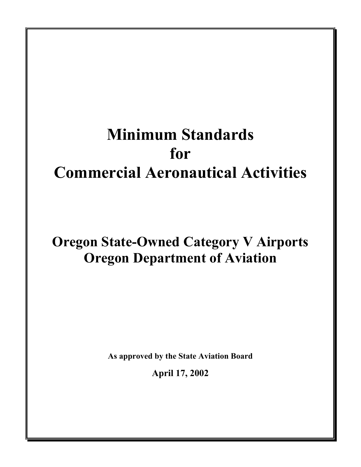# **Minimum Standards for Commercial Aeronautical Activities**

# **Oregon State-Owned Category V Airports Oregon Department of Aviation**

**As approved by the State Aviation Board** 

**April 17, 2002**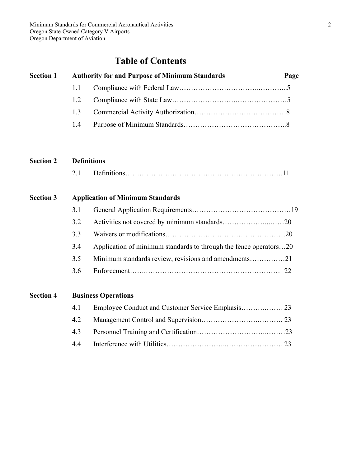# **Table of Contents**

| <b>Section 1</b> | <b>Authority for and Purpose of Minimum Standards</b> | Page |
|------------------|-------------------------------------------------------|------|
|                  |                                                       |      |
|                  |                                                       |      |
|                  |                                                       |      |
|                  |                                                       |      |

# **Section 2 Definitions**

| $\gamma$ 1<br>4.1 |  |  |  |
|-------------------|--|--|--|
|-------------------|--|--|--|

# **Section 3 Application of Minimum Standards**

| 3.1 |                                                                   |  |
|-----|-------------------------------------------------------------------|--|
| 3.2 |                                                                   |  |
| 33  |                                                                   |  |
| 3.4 | Application of minimum standards to through the fence operators20 |  |
| 3.5 | Minimum standards review, revisions and amendments21              |  |
| 36  |                                                                   |  |

| <b>Section 4</b> | <b>Business Operations</b> |
|------------------|----------------------------|
|------------------|----------------------------|

| 4.1 |  |
|-----|--|
|     |  |
|     |  |
|     |  |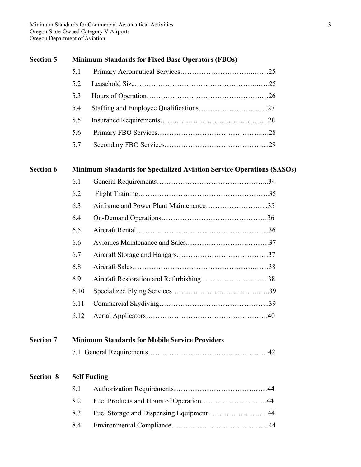# **Section 5 Minimum Standards for Fixed Base Operators (FBOs)**

| 52  |  |
|-----|--|
| 5.3 |  |
| 5.4 |  |
| 5.5 |  |
| 5.6 |  |
| 5.7 |  |

# **Section 6 Minimum Standards for Specialized Aviation Service Operations (SASOs)**

| 6.1  |  |
|------|--|
| 6.2  |  |
| 6.3  |  |
| 6.4  |  |
| 6.5  |  |
| 6.6  |  |
| 6.7  |  |
| 6.8  |  |
| 6.9  |  |
| 6.10 |  |
| 6.11 |  |
| 6.12 |  |

# **Section 7 Minimum Standards for Mobile Service Providers**

|--|--|--|

# **Section 8 Self Fueling**

| 81 |  |
|----|--|
| 82 |  |
|    |  |
| 84 |  |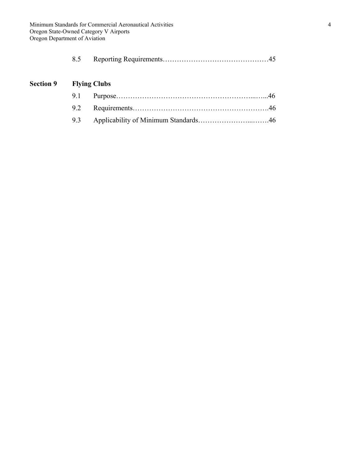| 8.5 |  |  |
|-----|--|--|
|-----|--|--|

# **Section 9 Flying Clubs**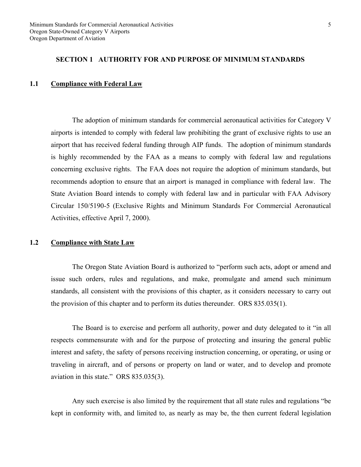#### **SECTION 1 AUTHORITY FOR AND PURPOSE OF MINIMUM STANDARDS**

#### **1.1 Compliance with Federal Law**

 The adoption of minimum standards for commercial aeronautical activities for Category V airports is intended to comply with federal law prohibiting the grant of exclusive rights to use an airport that has received federal funding through AIP funds. The adoption of minimum standards is highly recommended by the FAA as a means to comply with federal law and regulations concerning exclusive rights. The FAA does not require the adoption of minimum standards, but recommends adoption to ensure that an airport is managed in compliance with federal law. The State Aviation Board intends to comply with federal law and in particular with FAA Advisory Circular 150/5190-5 (Exclusive Rights and Minimum Standards For Commercial Aeronautical Activities, effective April 7, 2000).

#### **1.2 Compliance with State Law**

 The Oregon State Aviation Board is authorized to "perform such acts, adopt or amend and issue such orders, rules and regulations, and make, promulgate and amend such minimum standards, all consistent with the provisions of this chapter, as it considers necessary to carry out the provision of this chapter and to perform its duties thereunder. ORS 835.035(1).

 The Board is to exercise and perform all authority, power and duty delegated to it "in all respects commensurate with and for the purpose of protecting and insuring the general public interest and safety, the safety of persons receiving instruction concerning, or operating, or using or traveling in aircraft, and of persons or property on land or water, and to develop and promote aviation in this state." ORS 835.035(3).

 Any such exercise is also limited by the requirement that all state rules and regulations "be kept in conformity with, and limited to, as nearly as may be, the then current federal legislation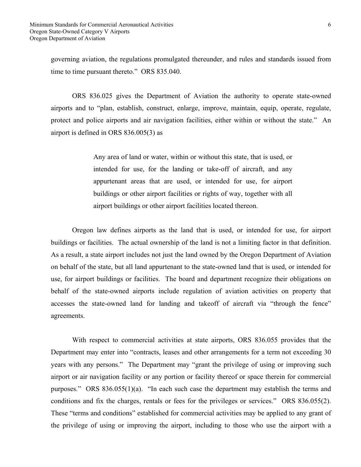governing aviation, the regulations promulgated thereunder, and rules and standards issued from time to time pursuant thereto." ORS 835.040.

 ORS 836.025 gives the Department of Aviation the authority to operate state-owned airports and to "plan, establish, construct, enlarge, improve, maintain, equip, operate, regulate, protect and police airports and air navigation facilities, either within or without the state." An airport is defined in ORS 836.005(3) as

> Any area of land or water, within or without this state, that is used, or intended for use, for the landing or take-off of aircraft, and any appurtenant areas that are used, or intended for use, for airport buildings or other airport facilities or rights of way, together with all airport buildings or other airport facilities located thereon.

 Oregon law defines airports as the land that is used, or intended for use, for airport buildings or facilities. The actual ownership of the land is not a limiting factor in that definition. As a result, a state airport includes not just the land owned by the Oregon Department of Aviation on behalf of the state, but all land appurtenant to the state-owned land that is used, or intended for use, for airport buildings or facilities. The board and department recognize their obligations on behalf of the state-owned airports include regulation of aviation activities on property that accesses the state-owned land for landing and takeoff of aircraft via "through the fence" agreements.

With respect to commercial activities at state airports, ORS 836.055 provides that the Department may enter into "contracts, leases and other arrangements for a term not exceeding 30 years with any persons." The Department may "grant the privilege of using or improving such airport or air navigation facility or any portion or facility thereof or space therein for commercial purposes." ORS 836.055(1)(a). "In each such case the department may establish the terms and conditions and fix the charges, rentals or fees for the privileges or services." ORS 836.055(2). These "terms and conditions" established for commercial activities may be applied to any grant of the privilege of using or improving the airport, including to those who use the airport with a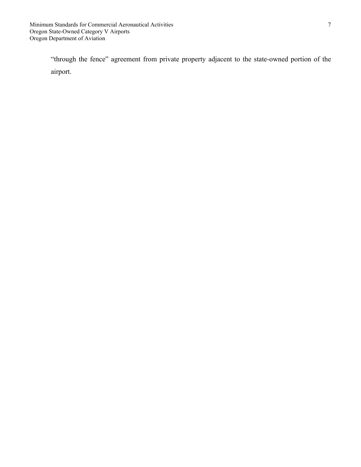"through the fence" agreement from private property adjacent to the state-owned portion of the airport.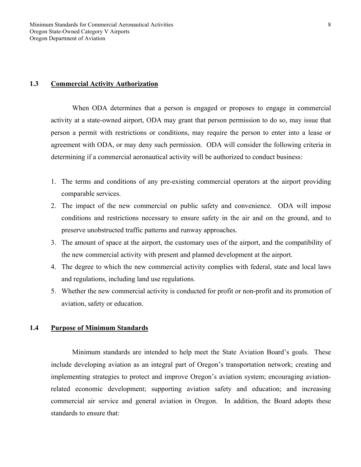#### **1.3 Commercial Activity Authorization**

 When ODA determines that a person is engaged or proposes to engage in commercial activity at a state-owned airport, ODA may grant that person permission to do so, may issue that person a permit with restrictions or conditions, may require the person to enter into a lease or agreement with ODA, or may deny such permission. ODA will consider the following criteria in determining if a commercial aeronautical activity will be authorized to conduct business:

- 1. The terms and conditions of any pre-existing commercial operators at the airport providing comparable services.
- 2. The impact of the new commercial on public safety and convenience. ODA will impose conditions and restrictions necessary to ensure safety in the air and on the ground, and to preserve unobstructed traffic patterns and runway approaches.
- 3. The amount of space at the airport, the customary uses of the airport, and the compatibility of the new commercial activity with present and planned development at the airport.
- 4. The degree to which the new commercial activity complies with federal, state and local laws and regulations, including land use regulations.
- 5. Whether the new commercial activity is conducted for profit or non-profit and its promotion of aviation, safety or education.

# **1.4 Purpose of Minimum Standards**

 Minimum standards are intended to help meet the State Aviation Board's goals. These include developing aviation as an integral part of Oregon's transportation network; creating and implementing strategies to protect and improve Oregon's aviation system; encouraging aviationrelated economic development; supporting aviation safety and education; and increasing commercial air service and general aviation in Oregon. In addition, the Board adopts these standards to ensure that: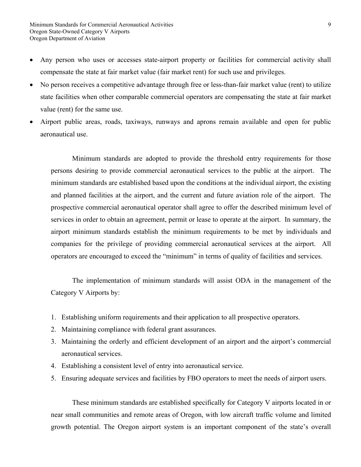- Any person who uses or accesses state-airport property or facilities for commercial activity shall compensate the state at fair market value (fair market rent) for such use and privileges.
- No person receives a competitive advantage through free or less-than-fair market value (rent) to utilize state facilities when other comparable commercial operators are compensating the state at fair market value (rent) for the same use.
- Airport public areas, roads, taxiways, runways and aprons remain available and open for public aeronautical use.

 Minimum standards are adopted to provide the threshold entry requirements for those persons desiring to provide commercial aeronautical services to the public at the airport. The minimum standards are established based upon the conditions at the individual airport, the existing and planned facilities at the airport, and the current and future aviation role of the airport. The prospective commercial aeronautical operator shall agree to offer the described minimum level of services in order to obtain an agreement, permit or lease to operate at the airport. In summary, the airport minimum standards establish the minimum requirements to be met by individuals and companies for the privilege of providing commercial aeronautical services at the airport. All operators are encouraged to exceed the "minimum" in terms of quality of facilities and services.

 The implementation of minimum standards will assist ODA in the management of the Category V Airports by:

- 1. Establishing uniform requirements and their application to all prospective operators.
- 2. Maintaining compliance with federal grant assurances.
- 3. Maintaining the orderly and efficient development of an airport and the airport's commercial aeronautical services.
- 4. Establishing a consistent level of entry into aeronautical service.
- 5. Ensuring adequate services and facilities by FBO operators to meet the needs of airport users.

 These minimum standards are established specifically for Category V airports located in or near small communities and remote areas of Oregon, with low aircraft traffic volume and limited growth potential. The Oregon airport system is an important component of the state's overall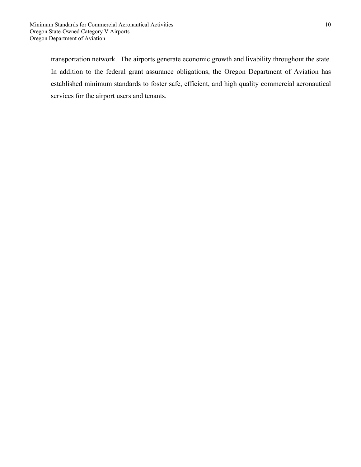transportation network. The airports generate economic growth and livability throughout the state. In addition to the federal grant assurance obligations, the Oregon Department of Aviation has established minimum standards to foster safe, efficient, and high quality commercial aeronautical services for the airport users and tenants.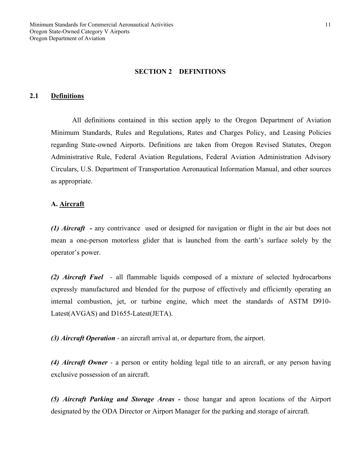#### **SECTION 2 DEFINITIONS**

#### **2.1 Definitions**

All definitions contained in this section apply to the Oregon Department of Aviation Minimum Standards, Rules and Regulations, Rates and Charges Policy, and Leasing Policies regarding State-owned Airports. Definitions are taken from Oregon Revised Statutes, Oregon Administrative Rule, Federal Aviation Regulations, Federal Aviation Administration Advisory Circulars, U.S. Department of Transportation Aeronautical Information Manual, and other sources as appropriate.

#### **A. Aircraft**

*(1) Aircraft -* any contrivance used or designed for navigation or flight in the air but does not mean a one-person motorless glider that is launched from the earth's surface solely by the operator's power.

*(2) Aircraft Fuel -* all flammable liquids composed of a mixture of selected hydrocarbons expressly manufactured and blended for the purpose of effectively and efficiently operating an internal combustion, jet, or turbine engine, which meet the standards of ASTM D910- Latest(AVGAS) and D1655-Latest(JETA).

*(3) Aircraft Operation -* an aircraft arrival at, or departure from, the airport.

*(4) Aircraft Owner -* a person or entity holding legal title to an aircraft, or any person having exclusive possession of an aircraft.

*(5) Aircraft Parking and Storage Areas -* those hangar and apron locations of the Airport designated by the ODA Director or Airport Manager for the parking and storage of aircraft.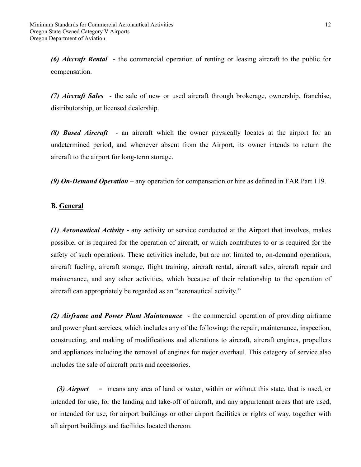*(6) Aircraft Rental* **-** the commercial operation of renting or leasing aircraft to the public for compensation.

*(7) Aircraft Sales* - the sale of new or used aircraft through brokerage, ownership, franchise, distributorship, or licensed dealership.

*(8) Based Aircraft* - an aircraft which the owner physically locates at the airport for an undetermined period, and whenever absent from the Airport, its owner intends to return the aircraft to the airport for long-term storage.

*(9) On-Demand Operation* – any operation for compensation or hire as defined in FAR Part 119.

#### **B. General**

*(1) Aeronautical Activity -* any activity or service conducted at the Airport that involves, makes possible, or is required for the operation of aircraft, or which contributes to or is required for the safety of such operations. These activities include, but are not limited to, on-demand operations, aircraft fueling, aircraft storage, flight training, aircraft rental, aircraft sales, aircraft repair and maintenance, and any other activities, which because of their relationship to the operation of aircraft can appropriately be regarded as an "aeronautical activity."

*(2) Airframe and Power Plant Maintenance* - the commercial operation of providing airframe and power plant services, which includes any of the following: the repair, maintenance, inspection, constructing, and making of modifications and alterations to aircraft, aircraft engines, propellers and appliances including the removal of engines for major overhaul. This category of service also includes the sale of aircraft parts and accessories.

*(3) Airport* **-** means any area of land or water, within or without this state, that is used, or intended for use, for the landing and take-off of aircraft, and any appurtenant areas that are used, or intended for use, for airport buildings or other airport facilities or rights of way, together with all airport buildings and facilities located thereon.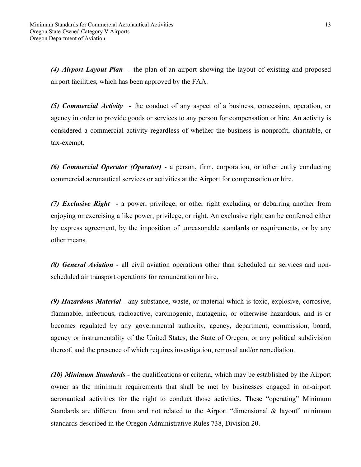*(4) Airport Layout Plan* - the plan of an airport showing the layout of existing and proposed airport facilities, which has been approved by the FAA.

*(5) Commercial Activity* - the conduct of any aspect of a business, concession, operation, or agency in order to provide goods or services to any person for compensation or hire. An activity is considered a commercial activity regardless of whether the business is nonprofit, charitable, or tax-exempt.

*(6) Commercial Operator (Operator)* - a person, firm, corporation, or other entity conducting commercial aeronautical services or activities at the Airport for compensation or hire.

*(7) Exclusive Right* - a power, privilege, or other right excluding or debarring another from enjoying or exercising a like power, privilege, or right. An exclusive right can be conferred either by express agreement, by the imposition of unreasonable standards or requirements, or by any other means.

*(8) General Aviation -* all civil aviation operations other than scheduled air services and nonscheduled air transport operations for remuneration or hire.

*(9) Hazardous Material -* any substance, waste, or material which is toxic, explosive, corrosive, flammable, infectious, radioactive, carcinogenic, mutagenic, or otherwise hazardous, and is or becomes regulated by any governmental authority, agency, department, commission, board, agency or instrumentality of the United States, the State of Oregon, or any political subdivision thereof, and the presence of which requires investigation, removal and/or remediation.

*(10) Minimum Standards -* the qualifications or criteria, which may be established by the Airport owner as the minimum requirements that shall be met by businesses engaged in on-airport aeronautical activities for the right to conduct those activities. These "operating" Minimum Standards are different from and not related to the Airport "dimensional & layout" minimum standards described in the Oregon Administrative Rules 738, Division 20.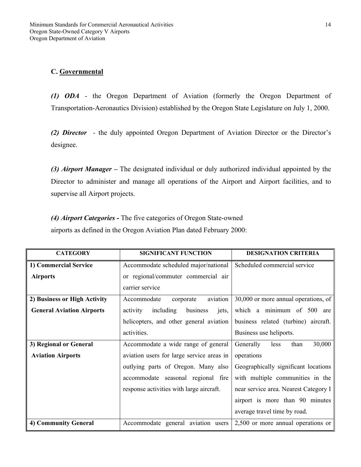# **C. Governmental**

*(1) ODA* - the Oregon Department of Aviation (formerly the Oregon Department of Transportation-Aeronautics Division) established by the Oregon State Legislature on July 1, 2000.

*(2) Director -* the duly appointed Oregon Department of Aviation Director or the Director's designee.

*(3) Airport Manager –* The designated individual or duly authorized individual appointed by the Director to administer and manage all operations of the Airport and Airport facilities, and to supervise all Airport projects.

*(4) Airport Categories -* The five categories of Oregon State-owned airports as defined in the Oregon Aviation Plan dated February 2000:

| <b>CATEGORY</b>                  | <b>SIGNIFICANT FUNCTION</b>                | <b>DESIGNATION CRITERIA</b>           |
|----------------------------------|--------------------------------------------|---------------------------------------|
| 1) Commercial Service            | Accommodate scheduled major/national       | Scheduled commercial service          |
| <b>Airports</b>                  | or regional/commuter commercial air        |                                       |
|                                  | carrier service                            |                                       |
| 2) Business or High Activity     | aviation<br>Accommodate<br>corporate       | 30,000 or more annual operations, of  |
| <b>General Aviation Airports</b> | including<br>business<br>activity<br>jets, | which a minimum of 500 are            |
|                                  | helicopters, and other general aviation    | business related (turbine) aircraft.  |
|                                  | activities.                                | Business use heliports.               |
| 3) Regional or General           | Accommodate a wide range of general        | 30,000<br>Generally<br>than<br>less   |
| <b>Aviation Airports</b>         | aviation users for large service areas in  | operations                            |
|                                  | outlying parts of Oregon. Many also        | Geographically significant locations  |
|                                  | accommodate seasonal regional fire         | with multiple communities in the      |
|                                  | response activities with large aircraft.   | near service area. Nearest Category I |
|                                  |                                            | airport is more than 90 minutes       |
|                                  |                                            | average travel time by road.          |
| 4) Community General             | Accommodate general aviation users         | 2,500 or more annual operations or    |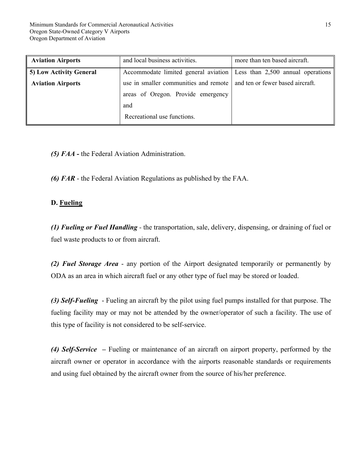| <b>Aviation Airports</b> | and local business activities.                                           | more than ten based aircraft. |
|--------------------------|--------------------------------------------------------------------------|-------------------------------|
| 5) Low Activity General  | Accommodate limited general aviation Less than 2,500 annual operations   |                               |
| <b>Aviation Airports</b> | use in smaller communities and remote   and ten or fewer based aircraft. |                               |
|                          | areas of Oregon. Provide emergency                                       |                               |
|                          | and                                                                      |                               |
|                          | Recreational use functions.                                              |                               |

*(5) FAA -* the Federal Aviation Administration.

*(6) FAR* - the Federal Aviation Regulations as published by the FAA.

#### **D. Fueling**

*(1) Fueling or Fuel Handling -* the transportation, sale, delivery, dispensing, or draining of fuel or fuel waste products to or from aircraft.

*(2) Fuel Storage Area* - any portion of the Airport designated temporarily or permanently by ODA as an area in which aircraft fuel or any other type of fuel may be stored or loaded.

*(3) Self-Fueling* - Fueling an aircraft by the pilot using fuel pumps installed for that purpose. The fueling facility may or may not be attended by the owner/operator of such a facility. The use of this type of facility is not considered to be self-service.

*(4) Self-Service –* Fueling or maintenance of an aircraft on airport property, performed by the aircraft owner or operator in accordance with the airports reasonable standards or requirements and using fuel obtained by the aircraft owner from the source of his/her preference.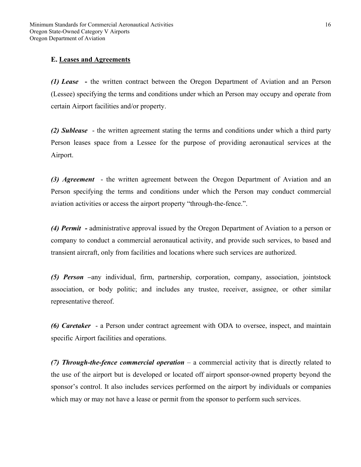# **E. Leases and Agreements**

*(1) Lease* **-** the written contract between the Oregon Department of Aviation and an Person (Lessee) specifying the terms and conditions under which an Person may occupy and operate from certain Airport facilities and/or property.

*(2) Sublease* - the written agreement stating the terms and conditions under which a third party Person leases space from a Lessee for the purpose of providing aeronautical services at the Airport.

*(3) Agreement* - the written agreement between the Oregon Department of Aviation and an Person specifying the terms and conditions under which the Person may conduct commercial aviation activities or access the airport property "through-the-fence.".

*(4) Permit -* administrative approval issued by the Oregon Department of Aviation to a person or company to conduct a commercial aeronautical activity, and provide such services, to based and transient aircraft, only from facilities and locations where such services are authorized.

*(5) Person –*any individual, firm, partnership, corporation, company, association, jointstock association, or body politic; and includes any trustee, receiver, assignee, or other similar representative thereof.

*(6) Caretaker* - a Person under contract agreement with ODA to oversee, inspect, and maintain specific Airport facilities and operations.

*(7) Through-the-fence commercial operation* – a commercial activity that is directly related to the use of the airport but is developed or located off airport sponsor-owned property beyond the sponsor's control. It also includes services performed on the airport by individuals or companies which may or may not have a lease or permit from the sponsor to perform such services.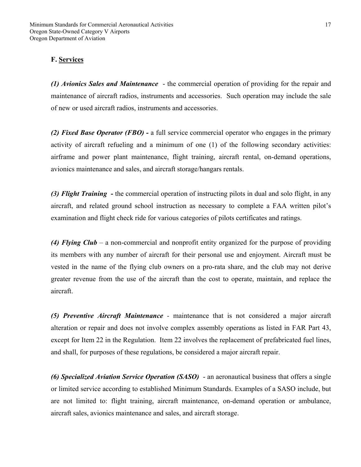# **F. Services**

*(1) Avionics Sales and Maintenance* - the commercial operation of providing for the repair and maintenance of aircraft radios, instruments and accessories. Such operation may include the sale of new or used aircraft radios, instruments and accessories.

*(2) Fixed Base Operator (FBO) -* a full service commercial operator who engages in the primary activity of aircraft refueling and a minimum of one (1) of the following secondary activities: airframe and power plant maintenance, flight training, aircraft rental, on-demand operations, avionics maintenance and sales, and aircraft storage/hangars rentals.

*(3) Flight Training* **-** the commercial operation of instructing pilots in dual and solo flight, in any aircraft, and related ground school instruction as necessary to complete a FAA written pilot's examination and flight check ride for various categories of pilots certificates and ratings.

*(4) Flying Club* – a non-commercial and nonprofit entity organized for the purpose of providing its members with any number of aircraft for their personal use and enjoyment. Aircraft must be vested in the name of the flying club owners on a pro-rata share, and the club may not derive greater revenue from the use of the aircraft than the cost to operate, maintain, and replace the aircraft.

*(5) Preventive Aircraft Maintenance -* maintenance that is not considered a major aircraft alteration or repair and does not involve complex assembly operations as listed in FAR Part 43, except for Item 22 in the Regulation. Item 22 involves the replacement of prefabricated fuel lines, and shall, for purposes of these regulations, be considered a major aircraft repair.

*(6) Specialized Aviation Service Operation (SASO)* - an aeronautical business that offers a single or limited service according to established Minimum Standards. Examples of a SASO include, but are not limited to: flight training, aircraft maintenance, on-demand operation or ambulance, aircraft sales, avionics maintenance and sales, and aircraft storage.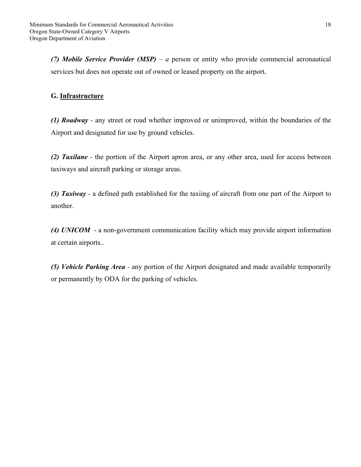*(7) Mobile Service Provider (MSP) – a* person or entity who provide commercial aeronautical services but does not operate out of owned or leased property on the airport**.**

# **G. Infrastructure**

*(1) Roadway -* any street or road whether improved or unimproved, within the boundaries of the Airport and designated for use by ground vehicles.

*(2) Taxilane -* the portion of the Airport apron area, or any other area, used for access between taxiways and aircraft parking or storage areas.

*(3) Taxiway -* a defined path established for the taxiing of aircraft from one part of the Airport to another.

*(4) UNICOM* - a non-government communication facility which may provide airport information at certain airports..

*(5) Vehicle Parking Area -* any portion of the Airport designated and made available temporarily or permanently by ODA for the parking of vehicles.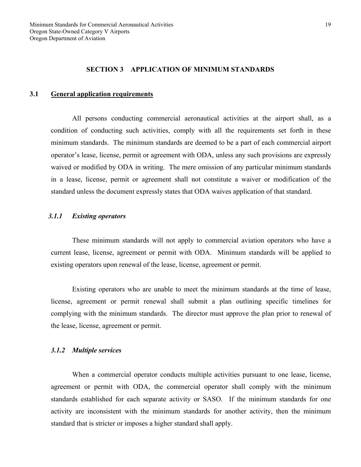#### **SECTION 3 APPLICATION OF MINIMUM STANDARDS**

#### **3.1 General application requirements**

 All persons conducting commercial aeronautical activities at the airport shall, as a condition of conducting such activities, comply with all the requirements set forth in these minimum standards. The minimum standards are deemed to be a part of each commercial airport operator's lease, license, permit or agreement with ODA, unless any such provisions are expressly waived or modified by ODA in writing. The mere omission of any particular minimum standards in a lease, license, permit or agreement shall not constitute a waiver or modification of the standard unless the document expressly states that ODA waives application of that standard.

#### *3.1.1 Existing operators*

 These minimum standards will not apply to commercial aviation operators who have a current lease, license, agreement or permit with ODA. Minimum standards will be applied to existing operators upon renewal of the lease, license, agreement or permit.

 Existing operators who are unable to meet the minimum standards at the time of lease, license, agreement or permit renewal shall submit a plan outlining specific timelines for complying with the minimum standards. The director must approve the plan prior to renewal of the lease, license, agreement or permit.

#### *3.1.2 Multiple services*

 When a commercial operator conducts multiple activities pursuant to one lease, license, agreement or permit with ODA, the commercial operator shall comply with the minimum standards established for each separate activity or SASO. If the minimum standards for one activity are inconsistent with the minimum standards for another activity, then the minimum standard that is stricter or imposes a higher standard shall apply.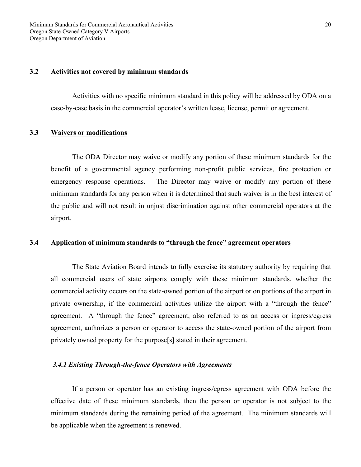#### **3.2 Activities not covered by minimum standards**

 Activities with no specific minimum standard in this policy will be addressed by ODA on a case-by-case basis in the commercial operator's written lease, license, permit or agreement.

#### **3.3 Waivers or modifications**

 The ODA Director may waive or modify any portion of these minimum standards for the benefit of a governmental agency performing non-profit public services, fire protection or emergency response operations. The Director may waive or modify any portion of these minimum standards for any person when it is determined that such waiver is in the best interest of the public and will not result in unjust discrimination against other commercial operators at the airport.

#### **3.4 Application of minimum standards to "through the fence" agreement operators**

 The State Aviation Board intends to fully exercise its statutory authority by requiring that all commercial users of state airports comply with these minimum standards, whether the commercial activity occurs on the state-owned portion of the airport or on portions of the airport in private ownership, if the commercial activities utilize the airport with a "through the fence" agreement. A "through the fence" agreement, also referred to as an access or ingress/egress agreement, authorizes a person or operator to access the state-owned portion of the airport from privately owned property for the purpose[s] stated in their agreement.

#### *3.4.1 Existing Through-the-fence Operators with Agreements*

 If a person or operator has an existing ingress/egress agreement with ODA before the effective date of these minimum standards, then the person or operator is not subject to the minimum standards during the remaining period of the agreement. The minimum standards will be applicable when the agreement is renewed.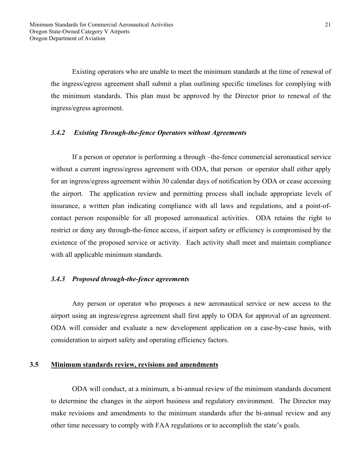Existing operators who are unable to meet the minimum standards at the time of renewal of the ingress/egress agreement shall submit a plan outlining specific timelines for complying with the minimum standards. This plan must be approved by the Director prior to renewal of the ingress/egress agreement.

#### *3.4.2 Existing Through-the-fence Operators without Agreements*

 If a person or operator is performing a through –the-fence commercial aeronautical service without a current ingress/egress agreement with ODA, that person or operator shall either apply for an ingress/egress agreement within 30 calendar days of notification by ODA or cease accessing the airport. The application review and permitting process shall include appropriate levels of insurance, a written plan indicating compliance with all laws and regulations, and a point-ofcontact person responsible for all proposed aeronautical activities. ODA retains the right to restrict or deny any through-the-fence access, if airport safety or efficiency is compromised by the existence of the proposed service or activity. Each activity shall meet and maintain compliance with all applicable minimum standards.

#### *3.4.3 Proposed through-the-fence agreements*

 Any person or operator who proposes a new aeronautical service or new access to the airport using an ingress/egress agreement shall first apply to ODA for approval of an agreement. ODA will consider and evaluate a new development application on a case-by-case basis, with consideration to airport safety and operating efficiency factors.

#### **3.5 Minimum standards review, revisions and amendments**

ODA will conduct, at a minimum, a bi-annual review of the minimum standards document to determine the changes in the airport business and regulatory environment. The Director may make revisions and amendments to the minimum standards after the bi-annual review and any other time necessary to comply with FAA regulations or to accomplish the state's goals.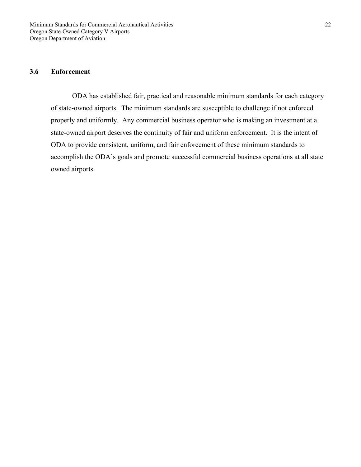#### **3.6 Enforcement**

ODA has established fair, practical and reasonable minimum standards for each category of state-owned airports. The minimum standards are susceptible to challenge if not enforced properly and uniformly. Any commercial business operator who is making an investment at a state-owned airport deserves the continuity of fair and uniform enforcement. It is the intent of ODA to provide consistent, uniform, and fair enforcement of these minimum standards to accomplish the ODA's goals and promote successful commercial business operations at all state owned airports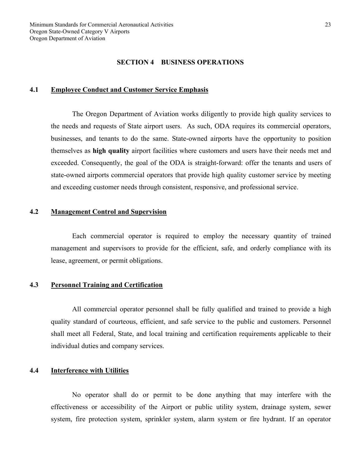#### **SECTION 4 BUSINESS OPERATIONS**

#### **4.1 Employee Conduct and Customer Service Emphasis**

 The Oregon Department of Aviation works diligently to provide high quality services to the needs and requests of State airport users. As such, ODA requires its commercial operators, businesses, and tenants to do the same. State-owned airports have the opportunity to position themselves as **high quality** airport facilities where customers and users have their needs met and exceeded. Consequently, the goal of the ODA is straight-forward: offer the tenants and users of state-owned airports commercial operators that provide high quality customer service by meeting and exceeding customer needs through consistent, responsive, and professional service.

## **4.2 Management Control and Supervision**

Each commercial operator is required to employ the necessary quantity of trained management and supervisors to provide for the efficient, safe, and orderly compliance with its lease, agreement, or permit obligations.

#### **4.3 Personnel Training and Certification**

 All commercial operator personnel shall be fully qualified and trained to provide a high quality standard of courteous, efficient, and safe service to the public and customers. Personnel shall meet all Federal, State, and local training and certification requirements applicable to their individual duties and company services.

#### **4.4 Interference with Utilities**

 No operator shall do or permit to be done anything that may interfere with the effectiveness or accessibility of the Airport or public utility system, drainage system, sewer system, fire protection system, sprinkler system, alarm system or fire hydrant. If an operator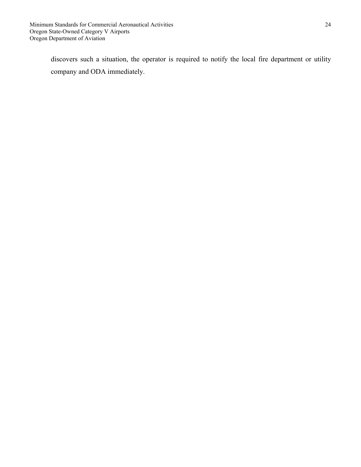discovers such a situation, the operator is required to notify the local fire department or utility company and ODA immediately.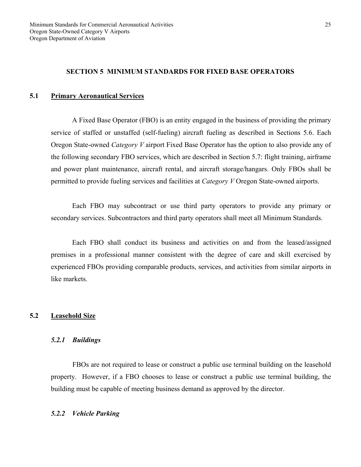#### **SECTION 5 MINIMUM STANDARDS FOR FIXED BASE OPERATORS**

#### **5.1 Primary Aeronautical Services**

 A Fixed Base Operator (FBO) is an entity engaged in the business of providing the primary service of staffed or unstaffed (self-fueling) aircraft fueling as described in Sections 5.6. Each Oregon State-owned *Category V* airport Fixed Base Operator has the option to also provide any of the following secondary FBO services, which are described in Section 5.7: flight training, airframe and power plant maintenance, aircraft rental, and aircraft storage/hangars. Only FBOs shall be permitted to provide fueling services and facilities at *Category V* Oregon State-owned airports.

 Each FBO may subcontract or use third party operators to provide any primary or secondary services. Subcontractors and third party operators shall meet all Minimum Standards.

 Each FBO shall conduct its business and activities on and from the leased/assigned premises in a professional manner consistent with the degree of care and skill exercised by experienced FBOs providing comparable products, services, and activities from similar airports in like markets.

#### **5.2 Leasehold Size**

#### *5.2.1 Buildings*

 FBOs are not required to lease or construct a public use terminal building on the leasehold property. However, if a FBO chooses to lease or construct a public use terminal building, the building must be capable of meeting business demand as approved by the director.

#### *5.2.2 Vehicle Parking*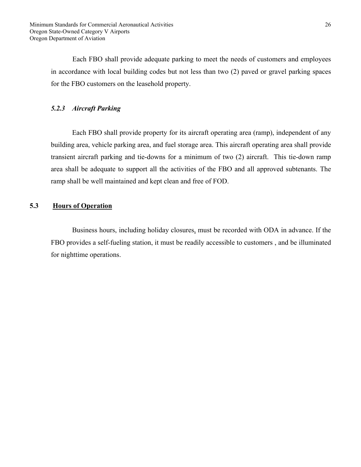Each FBO shall provide adequate parking to meet the needs of customers and employees in accordance with local building codes but not less than two (2) paved or gravel parking spaces for the FBO customers on the leasehold property.

# *5.2.3 Aircraft Parking*

 Each FBO shall provide property for its aircraft operating area (ramp), independent of any building area, vehicle parking area, and fuel storage area. This aircraft operating area shall provide transient aircraft parking and tie-downs for a minimum of two (2) aircraft. This tie-down ramp area shall be adequate to support all the activities of the FBO and all approved subtenants. The ramp shall be well maintained and kept clean and free of FOD.

# **5.3 Hours of Operation**

Business hours, including holiday closures, must be recorded with ODA in advance. If the FBO provides a self-fueling station, it must be readily accessible to customers , and be illuminated for nighttime operations.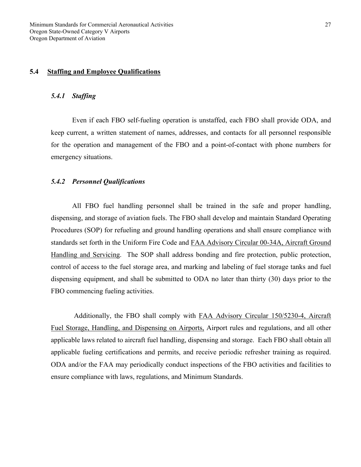## **5.4 Staffing and Employee Qualifications**

#### *5.4.1 Staffing*

 Even if each FBO self-fueling operation is unstaffed, each FBO shall provide ODA, and keep current, a written statement of names, addresses, and contacts for all personnel responsible for the operation and management of the FBO and a point-of-contact with phone numbers for emergency situations.

# *5.4.2 Personnel Qualifications*

 All FBO fuel handling personnel shall be trained in the safe and proper handling, dispensing, and storage of aviation fuels. The FBO shall develop and maintain Standard Operating Procedures (SOP) for refueling and ground handling operations and shall ensure compliance with standards set forth in the Uniform Fire Code and FAA Advisory Circular 00-34A, Aircraft Ground Handling and Servicing. The SOP shall address bonding and fire protection, public protection, control of access to the fuel storage area, and marking and labeling of fuel storage tanks and fuel dispensing equipment, and shall be submitted to ODA no later than thirty (30) days prior to the FBO commencing fueling activities.

 Additionally, the FBO shall comply with FAA Advisory Circular 150/5230-4, Aircraft Fuel Storage, Handling, and Dispensing on Airports, Airport rules and regulations, and all other applicable laws related to aircraft fuel handling, dispensing and storage. Each FBO shall obtain all applicable fueling certifications and permits, and receive periodic refresher training as required. ODA and/or the FAA may periodically conduct inspections of the FBO activities and facilities to ensure compliance with laws, regulations, and Minimum Standards.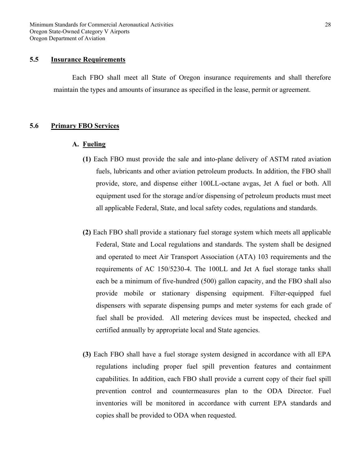Minimum Standards for Commercial Aeronautical Activities Oregon State-Owned Category V Airports Oregon Department of Aviation

#### **5.5 Insurance Requirements**

 Each FBO shall meet all State of Oregon insurance requirements and shall therefore maintain the types and amounts of insurance as specified in the lease, permit or agreement.

#### **5.6 Primary FBO Services**

#### **A. Fueling**

- **(1)** Each FBO must provide the sale and into-plane delivery of ASTM rated aviation fuels, lubricants and other aviation petroleum products. In addition, the FBO shall provide, store, and dispense either 100LL-octane avgas, Jet A fuel or both. All equipment used for the storage and/or dispensing of petroleum products must meet all applicable Federal, State, and local safety codes, regulations and standards.
- **(2)** Each FBO shall provide a stationary fuel storage system which meets all applicable Federal, State and Local regulations and standards. The system shall be designed and operated to meet Air Transport Association (ATA) 103 requirements and the requirements of AC 150/5230-4. The 100LL and Jet A fuel storage tanks shall each be a minimum of five-hundred (500) gallon capacity, and the FBO shall also provide mobile or stationary dispensing equipment. Filter-equipped fuel dispensers with separate dispensing pumps and meter systems for each grade of fuel shall be provided. All metering devices must be inspected, checked and certified annually by appropriate local and State agencies.
- **(3)** Each FBO shall have a fuel storage system designed in accordance with all EPA regulations including proper fuel spill prevention features and containment capabilities. In addition, each FBO shall provide a current copy of their fuel spill prevention control and countermeasures plan to the ODA Director. Fuel inventories will be monitored in accordance with current EPA standards and copies shall be provided to ODA when requested.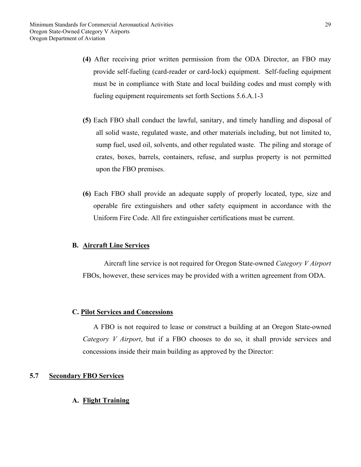- **(4)** After receiving prior written permission from the ODA Director, an FBO may provide self-fueling (card-reader or card-lock) equipment. Self-fueling equipment must be in compliance with State and local building codes and must comply with fueling equipment requirements set forth Sections 5.6.A.1-3
- **(5)** Each FBO shall conduct the lawful, sanitary, and timely handling and disposal of all solid waste, regulated waste, and other materials including, but not limited to, sump fuel, used oil, solvents, and other regulated waste. The piling and storage of crates, boxes, barrels, containers, refuse, and surplus property is not permitted upon the FBO premises.
- **(6)** Each FBO shall provide an adequate supply of properly located, type, size and operable fire extinguishers and other safety equipment in accordance with the Uniform Fire Code. All fire extinguisher certifications must be current.

#### **B. Aircraft Line Services**

Aircraft line service is not required for Oregon State-owned *Category V Airport* FBOs, however, these services may be provided with a written agreement from ODA.

#### **C. Pilot Services and Concessions**

 A FBO is not required to lease or construct a building at an Oregon State-owned *Category V Airport*, but if a FBO chooses to do so, it shall provide services and concessions inside their main building as approved by the Director:

# **5.7 Secondary FBO Services**

# **A. Flight Training**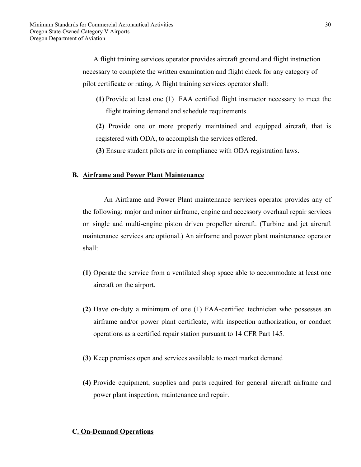A flight training services operator provides aircraft ground and flight instruction necessary to complete the written examination and flight check for any category of pilot certificate or rating. A flight training services operator shall:

**(1)** Provide at least one (1) FAA certified flight instructor necessary to meet the flight training demand and schedule requirements.

**(2)** Provide one or more properly maintained and equipped aircraft, that is registered with ODA, to accomplish the services offered.

**(3)** Ensure student pilots are in compliance with ODA registration laws.

#### **B. Airframe and Power Plant Maintenance**

An Airframe and Power Plant maintenance services operator provides any of the following: major and minor airframe, engine and accessory overhaul repair services on single and multi-engine piston driven propeller aircraft. (Turbine and jet aircraft maintenance services are optional.) An airframe and power plant maintenance operator shall:

- **(1)** Operate the service from a ventilated shop space able to accommodate at least one aircraft on the airport.
- **(2)** Have on-duty a minimum of one (1) FAA-certified technician who possesses an airframe and/or power plant certificate, with inspection authorization, or conduct operations as a certified repair station pursuant to 14 CFR Part 145.
- **(3)** Keep premises open and services available to meet market demand
- **(4)** Provide equipment, supplies and parts required for general aircraft airframe and power plant inspection, maintenance and repair.

#### **C. On-Demand Operations**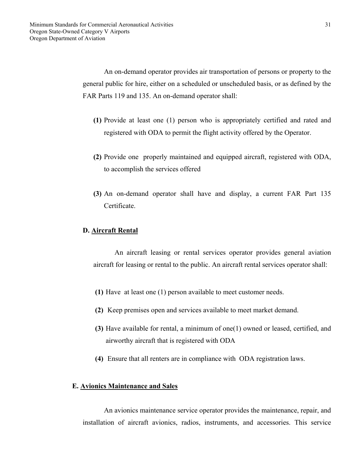An on-demand operator provides air transportation of persons or property to the general public for hire, either on a scheduled or unscheduled basis, or as defined by the FAR Parts 119 and 135. An on-demand operator shall:

- **(1)** Provide at least one (1) person who is appropriately certified and rated and registered with ODA to permit the flight activity offered by the Operator.
- **(2)** Provide one properly maintained and equipped aircraft, registered with ODA, to accomplish the services offered
- **(3)** An on-demand operator shall have and display, a current FAR Part 135 Certificate.

#### **D. Aircraft Rental**

An aircraft leasing or rental services operator provides general aviation aircraft for leasing or rental to the public. An aircraft rental services operator shall:

- **(1)** Have at least one (1) person available to meet customer needs.
- **(2)** Keep premises open and services available to meet market demand.
- **(3)** Have available for rental, a minimum of one(1) owned or leased, certified, and airworthy aircraft that is registered with ODA
- **(4)** Ensure that all renters are in compliance with ODA registration laws.

#### **E. Avionics Maintenance and Sales**

An avionics maintenance service operator provides the maintenance, repair, and installation of aircraft avionics, radios, instruments, and accessories. This service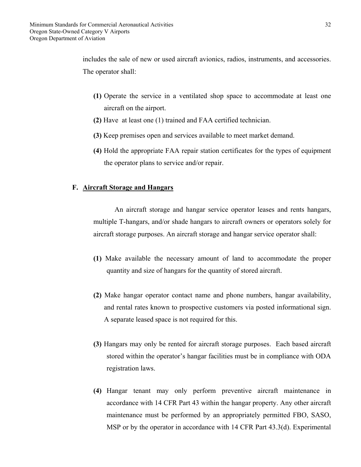includes the sale of new or used aircraft avionics, radios, instruments, and accessories. The operator shall:

- **(1)** Operate the service in a ventilated shop space to accommodate at least one aircraft on the airport.
- **(2)** Have at least one (1) trained and FAA certified technician.
- **(3)** Keep premises open and services available to meet market demand.
- **(4)** Hold the appropriate FAA repair station certificates for the types of equipment the operator plans to service and/or repair.

#### **F. Aircraft Storage and Hangars**

An aircraft storage and hangar service operator leases and rents hangars, multiple T-hangars, and/or shade hangars to aircraft owners or operators solely for aircraft storage purposes. An aircraft storage and hangar service operator shall:

- **(1)** Make available the necessary amount of land to accommodate the proper quantity and size of hangars for the quantity of stored aircraft.
- **(2)** Make hangar operator contact name and phone numbers, hangar availability, and rental rates known to prospective customers via posted informational sign. A separate leased space is not required for this.
- **(3)** Hangars may only be rented for aircraft storage purposes. Each based aircraft stored within the operator's hangar facilities must be in compliance with ODA registration laws.
- **(4)** Hangar tenant may only perform preventive aircraft maintenance in accordance with 14 CFR Part 43 within the hangar property. Any other aircraft maintenance must be performed by an appropriately permitted FBO, SASO, MSP or by the operator in accordance with 14 CFR Part 43.3(d). Experimental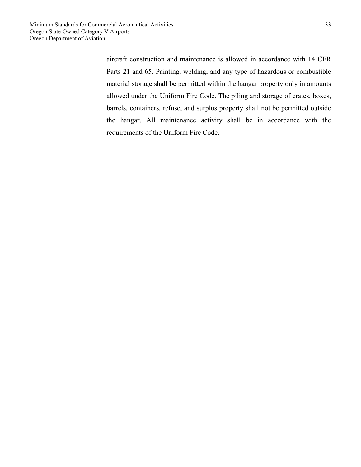aircraft construction and maintenance is allowed in accordance with 14 CFR Parts 21 and 65. Painting, welding, and any type of hazardous or combustible material storage shall be permitted within the hangar property only in amounts allowed under the Uniform Fire Code. The piling and storage of crates, boxes, barrels, containers, refuse, and surplus property shall not be permitted outside the hangar. All maintenance activity shall be in accordance with the requirements of the Uniform Fire Code.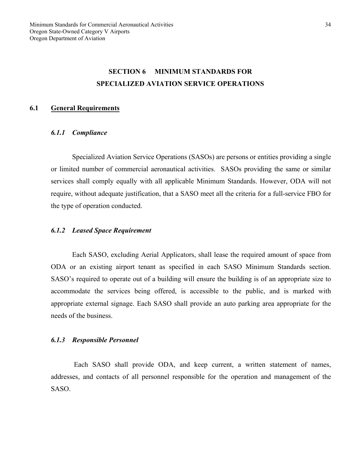# **SECTION 6 MINIMUM STANDARDS FOR SPECIALIZED AVIATION SERVICE OPERATIONS**

#### **6.1 General Requirements**

#### *6.1.1 Compliance*

 Specialized Aviation Service Operations (SASOs) are persons or entities providing a single or limited number of commercial aeronautical activities. SASOs providing the same or similar services shall comply equally with all applicable Minimum Standards. However, ODA will not require, without adequate justification, that a SASO meet all the criteria for a full-service FBO for the type of operation conducted.

#### *6.1.2 Leased Space Requirement*

 Each SASO, excluding Aerial Applicators, shall lease the required amount of space from ODA or an existing airport tenant as specified in each SASO Minimum Standards section. SASO's required to operate out of a building will ensure the building is of an appropriate size to accommodate the services being offered, is accessible to the public, and is marked with appropriate external signage. Each SASO shall provide an auto parking area appropriate for the needs of the business.

#### *6.1.3 Responsible Personnel*

Each SASO shall provide ODA, and keep current, a written statement of names, addresses, and contacts of all personnel responsible for the operation and management of the SASO.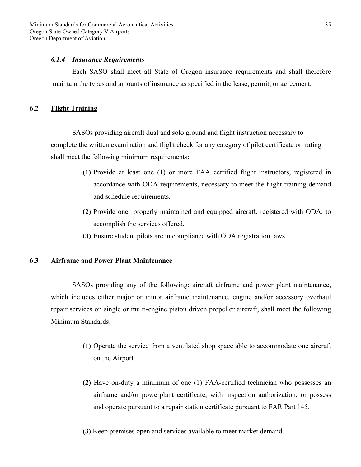Minimum Standards for Commercial Aeronautical Activities Oregon State-Owned Category V Airports Oregon Department of Aviation

#### *6.1.4 Insurance Requirements*

 Each SASO shall meet all State of Oregon insurance requirements and shall therefore maintain the types and amounts of insurance as specified in the lease, permit, or agreement.

#### **6.2 Flight Training**

 SASOs providing aircraft dual and solo ground and flight instruction necessary to complete the written examination and flight check for any category of pilot certificate or rating shall meet the following minimum requirements:

- **(1)** Provide at least one (1) or more FAA certified flight instructors, registered in accordance with ODA requirements, necessary to meet the flight training demand and schedule requirements.
- **(2)** Provide one properly maintained and equipped aircraft, registered with ODA, to accomplish the services offered.
- **(3)** Ensure student pilots are in compliance with ODA registration laws.

## **6.3 Airframe and Power Plant Maintenance**

SASOs providing any of the following: aircraft airframe and power plant maintenance, which includes either major or minor airframe maintenance, engine and/or accessory overhaul repair services on single or multi-engine piston driven propeller aircraft, shall meet the following Minimum Standards:

- **(1)** Operate the service from a ventilated shop space able to accommodate one aircraft on the Airport.
- **(2)** Have on-duty a minimum of one (1) FAA-certified technician who possesses an airframe and/or powerplant certificate, with inspection authorization, or possess and operate pursuant to a repair station certificate pursuant to FAR Part 145.
- **(3)** Keep premises open and services available to meet market demand.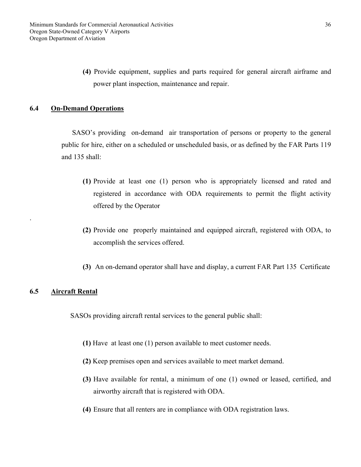**(4)** Provide equipment, supplies and parts required for general aircraft airframe and power plant inspection, maintenance and repair.

## **6.4 On-Demand Operations**

 SASO's providing on-demand air transportation of persons or property to the general public for hire, either on a scheduled or unscheduled basis, or as defined by the FAR Parts 119 and 135 shall:

- **(1)** Provide at least one (1) person who is appropriately licensed and rated and registered in accordance with ODA requirements to permit the flight activity offered by the Operator
- **(2)** Provide one properly maintained and equipped aircraft, registered with ODA, to accomplish the services offered.
- **(3)** An on-demand operator shall have and display, a current FAR Part 135 Certificate

# **6.5 Aircraft Rental**

.

SASOs providing aircraft rental services to the general public shall:

- **(1)** Have at least one (1) person available to meet customer needs.
- **(2)** Keep premises open and services available to meet market demand.
- **(3)** Have available for rental, a minimum of one (1) owned or leased, certified, and airworthy aircraft that is registered with ODA.
- **(4)** Ensure that all renters are in compliance with ODA registration laws.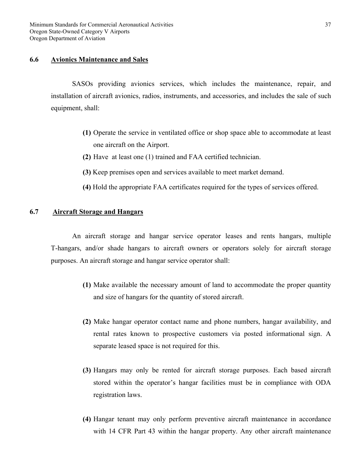#### **6.6 Avionics Maintenance and Sales**

SASOs providing avionics services, which includes the maintenance, repair, and installation of aircraft avionics, radios, instruments, and accessories, and includes the sale of such equipment, shall:

- **(1)** Operate the service in ventilated office or shop space able to accommodate at least one aircraft on the Airport.
- **(2)** Have at least one (1) trained and FAA certified technician.
- **(3)** Keep premises open and services available to meet market demand.
- **(4)** Hold the appropriate FAA certificates required for the types of services offered.

# **6.7 Aircraft Storage and Hangars**

An aircraft storage and hangar service operator leases and rents hangars, multiple T-hangars, and/or shade hangars to aircraft owners or operators solely for aircraft storage purposes. An aircraft storage and hangar service operator shall:

- **(1)** Make available the necessary amount of land to accommodate the proper quantity and size of hangars for the quantity of stored aircraft.
- **(2)** Make hangar operator contact name and phone numbers, hangar availability, and rental rates known to prospective customers via posted informational sign. A separate leased space is not required for this.
- **(3)** Hangars may only be rented for aircraft storage purposes. Each based aircraft stored within the operator's hangar facilities must be in compliance with ODA registration laws.
- **(4)** Hangar tenant may only perform preventive aircraft maintenance in accordance with 14 CFR Part 43 within the hangar property. Any other aircraft maintenance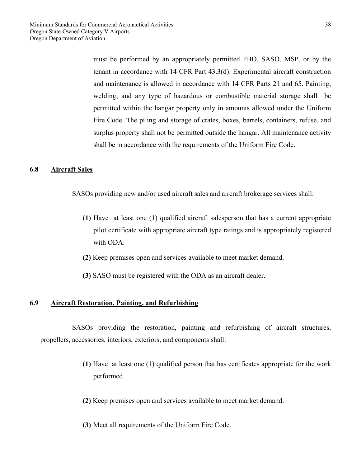must be performed by an appropriately permitted FBO, SASO, MSP, or by the tenant in accordance with 14 CFR Part 43.3(d). Experimental aircraft construction and maintenance is allowed in accordance with 14 CFR Parts 21 and 65. Painting, welding, and any type of hazardous or combustible material storage shall be permitted within the hangar property only in amounts allowed under the Uniform Fire Code. The piling and storage of crates, boxes, barrels, containers, refuse, and surplus property shall not be permitted outside the hangar. All maintenance activity shall be in accordance with the requirements of the Uniform Fire Code.

#### **6.8 Aircraft Sales**

SASOs providing new and/or used aircraft sales and aircraft brokerage services shall:

- **(1)** Have at least one (1) qualified aircraft salesperson that has a current appropriate pilot certificate with appropriate aircraft type ratings and is appropriately registered with ODA.
- **(2)** Keep premises open and services available to meet market demand.
- **(3)** SASO must be registered with the ODA as an aircraft dealer.

#### **6.9 Aircraft Restoration, Painting, and Refurbishing**

 SASOs providing the restoration, painting and refurbishing of aircraft structures, propellers, accessories, interiors, exteriors, and components shall:

- **(1)** Have at least one (1) qualified person that has certificates appropriate for the work performed.
- **(2)** Keep premises open and services available to meet market demand.
- **(3)** Meet all requirements of the Uniform Fire Code.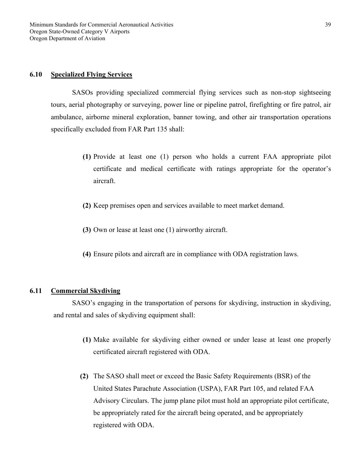#### **6.10 Specialized Flying Services**

SASOs providing specialized commercial flying services such as non-stop sightseeing tours, aerial photography or surveying, power line or pipeline patrol, firefighting or fire patrol, air ambulance, airborne mineral exploration, banner towing, and other air transportation operations specifically excluded from FAR Part 135 shall:

- **(1)** Provide at least one (1) person who holds a current FAA appropriate pilot certificate and medical certificate with ratings appropriate for the operator's aircraft.
- **(2)** Keep premises open and services available to meet market demand.
- **(3)** Own or lease at least one (1) airworthy aircraft.
- **(4)** Ensure pilots and aircraft are in compliance with ODA registration laws.

#### **6.11 Commercial Skydiving**

SASO's engaging in the transportation of persons for skydiving, instruction in skydiving, and rental and sales of skydiving equipment shall:

- **(1)** Make available for skydiving either owned or under lease at least one properly certificated aircraft registered with ODA.
- **(2)** The SASO shall meet or exceed the Basic Safety Requirements (BSR) of the United States Parachute Association (USPA), FAR Part 105, and related FAA Advisory Circulars. The jump plane pilot must hold an appropriate pilot certificate, be appropriately rated for the aircraft being operated, and be appropriately registered with ODA.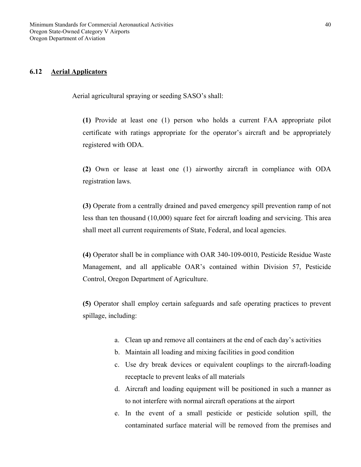#### **6.12 Aerial Applicators**

Aerial agricultural spraying or seeding SASO's shall:

**(1)** Provide at least one (1) person who holds a current FAA appropriate pilot certificate with ratings appropriate for the operator's aircraft and be appropriately registered with ODA.

**(2)** Own or lease at least one (1) airworthy aircraft in compliance with ODA registration laws.

**(3)** Operate from a centrally drained and paved emergency spill prevention ramp of not less than ten thousand (10,000) square feet for aircraft loading and servicing. This area shall meet all current requirements of State, Federal, and local agencies.

**(4)** Operator shall be in compliance with OAR 340-109-0010, Pesticide Residue Waste Management, and all applicable OAR's contained within Division 57, Pesticide Control, Oregon Department of Agriculture.

**(5)** Operator shall employ certain safeguards and safe operating practices to prevent spillage, including:

- a. Clean up and remove all containers at the end of each day's activities
- b. Maintain all loading and mixing facilities in good condition
- c. Use dry break devices or equivalent couplings to the aircraft-loading receptacle to prevent leaks of all materials
- d. Aircraft and loading equipment will be positioned in such a manner as to not interfere with normal aircraft operations at the airport
- e. In the event of a small pesticide or pesticide solution spill, the contaminated surface material will be removed from the premises and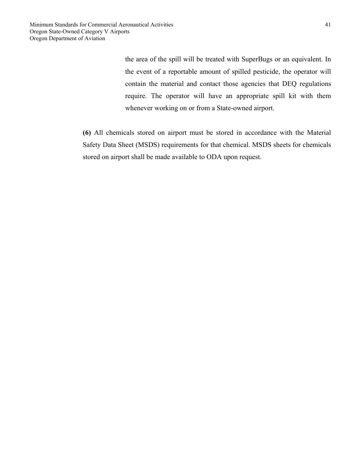the area of the spill will be treated with SuperBugs or an equivalent. In the event of a reportable amount of spilled pesticide, the operator will contain the material and contact those agencies that DEQ regulations require. The operator will have an appropriate spill kit with them whenever working on or from a State-owned airport.

**(6)** All chemicals stored on airport must be stored in accordance with the Material Safety Data Sheet (MSDS) requirements for that chemical. MSDS sheets for chemicals stored on airport shall be made available to ODA upon request.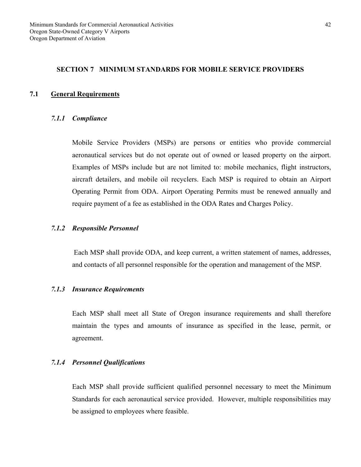#### **SECTION 7 MINIMUM STANDARDS FOR MOBILE SERVICE PROVIDERS**

#### **7.1 General Requirements**

#### *7.1.1 Compliance*

Mobile Service Providers (MSPs) are persons or entities who provide commercial aeronautical services but do not operate out of owned or leased property on the airport. Examples of MSPs include but are not limited to: mobile mechanics, flight instructors, aircraft detailers, and mobile oil recyclers. Each MSP is required to obtain an Airport Operating Permit from ODA. Airport Operating Permits must be renewed annually and require payment of a fee as established in the ODA Rates and Charges Policy.

#### *7.1.2 Responsible Personnel*

Each MSP shall provide ODA, and keep current, a written statement of names, addresses, and contacts of all personnel responsible for the operation and management of the MSP.

#### *7.1.3 Insurance Requirements*

Each MSP shall meet all State of Oregon insurance requirements and shall therefore maintain the types and amounts of insurance as specified in the lease, permit, or agreement.

#### *7.1.4 Personnel Qualifications*

Each MSP shall provide sufficient qualified personnel necessary to meet the Minimum Standards for each aeronautical service provided. However, multiple responsibilities may be assigned to employees where feasible.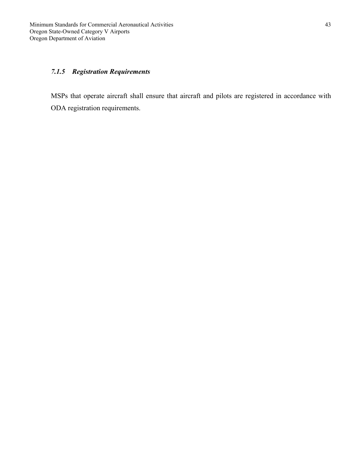# *7.1.5 Registration Requirements*

MSPs that operate aircraft shall ensure that aircraft and pilots are registered in accordance with ODA registration requirements.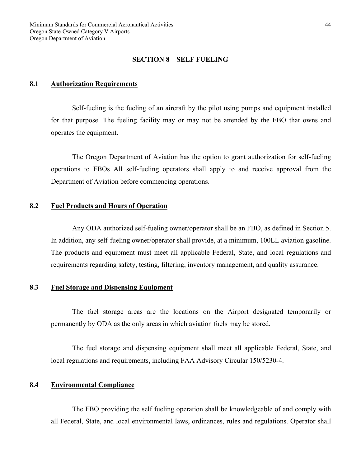#### **SECTION 8 SELF FUELING**

#### **8.1 Authorization Requirements**

Self-fueling is the fueling of an aircraft by the pilot using pumps and equipment installed for that purpose. The fueling facility may or may not be attended by the FBO that owns and operates the equipment.

 The Oregon Department of Aviation has the option to grant authorization for self-fueling operations to FBOs All self-fueling operators shall apply to and receive approval from the Department of Aviation before commencing operations.

#### **8.2 Fuel Products and Hours of Operation**

Any ODA authorized self-fueling owner/operator shall be an FBO, as defined in Section 5. In addition, any self-fueling owner/operator shall provide, at a minimum, 100LL aviation gasoline. The products and equipment must meet all applicable Federal, State, and local regulations and requirements regarding safety, testing, filtering, inventory management, and quality assurance.

#### **8.3 Fuel Storage and Dispensing Equipment**

The fuel storage areas are the locations on the Airport designated temporarily or permanently by ODA as the only areas in which aviation fuels may be stored.

The fuel storage and dispensing equipment shall meet all applicable Federal, State, and local regulations and requirements, including FAA Advisory Circular 150/5230-4.

## **8.4 Environmental Compliance**

 The FBO providing the self fueling operation shall be knowledgeable of and comply with all Federal, State, and local environmental laws, ordinances, rules and regulations. Operator shall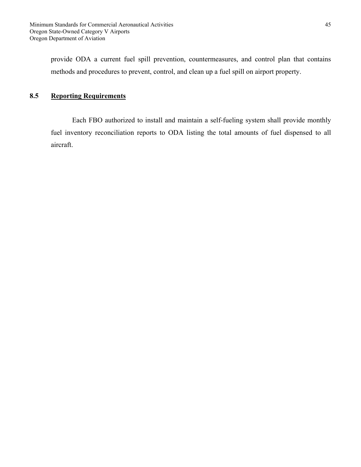provide ODA a current fuel spill prevention, countermeasures, and control plan that contains methods and procedures to prevent, control, and clean up a fuel spill on airport property.

# **8.5 Reporting Requirements**

 Each FBO authorized to install and maintain a self-fueling system shall provide monthly fuel inventory reconciliation reports to ODA listing the total amounts of fuel dispensed to all aircraft.